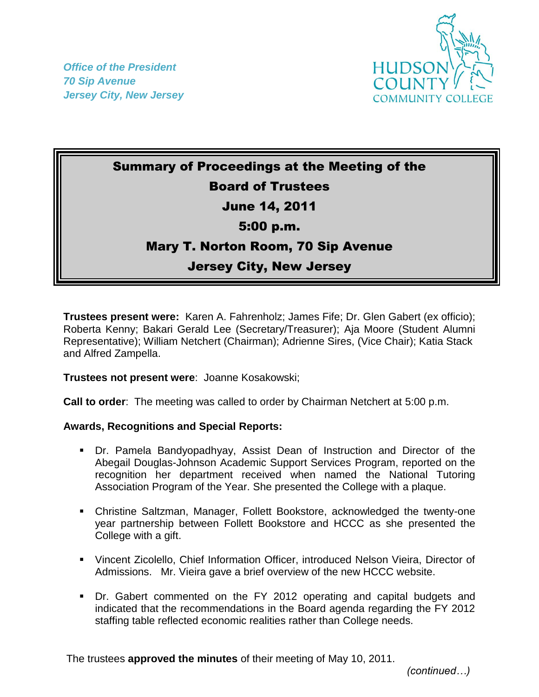*Office of the President 70 Sip Avenue Jersey City, New Jersey*



# Summary of Proceedings at the Meeting of the Board of Trustees

# June 14, 2011

### 5:00 p.m.

# Mary T. Norton Room, 70 Sip Avenue

### Jersey City, New Jersey

**Trustees present were:** Karen A. Fahrenholz; James Fife; Dr. Glen Gabert (ex officio); Roberta Kenny; Bakari Gerald Lee (Secretary/Treasurer); Aja Moore (Student Alumni Representative); William Netchert (Chairman); Adrienne Sires, (Vice Chair); Katia Stack and Alfred Zampella.

**Trustees not present were**: Joanne Kosakowski;

**Call to order**: The meeting was called to order by Chairman Netchert at 5:00 p.m.

#### **Awards, Recognitions and Special Reports:**

- Dr. Pamela Bandyopadhyay, Assist Dean of Instruction and Director of the Abegail Douglas-Johnson Academic Support Services Program, reported on the recognition her department received when named the National Tutoring Association Program of the Year. She presented the College with a plaque.
- Christine Saltzman, Manager, Follett Bookstore, acknowledged the twenty-one year partnership between Follett Bookstore and HCCC as she presented the College with a gift.
- Vincent Zicolello, Chief Information Officer, introduced Nelson Vieira, Director of Admissions. Mr. Vieira gave a brief overview of the new HCCC website.
- Dr. Gabert commented on the FY 2012 operating and capital budgets and indicated that the recommendations in the Board agenda regarding the FY 2012 staffing table reflected economic realities rather than College needs.

The trustees **approved the minutes** of their meeting of May 10, 2011.

 *(continued…)*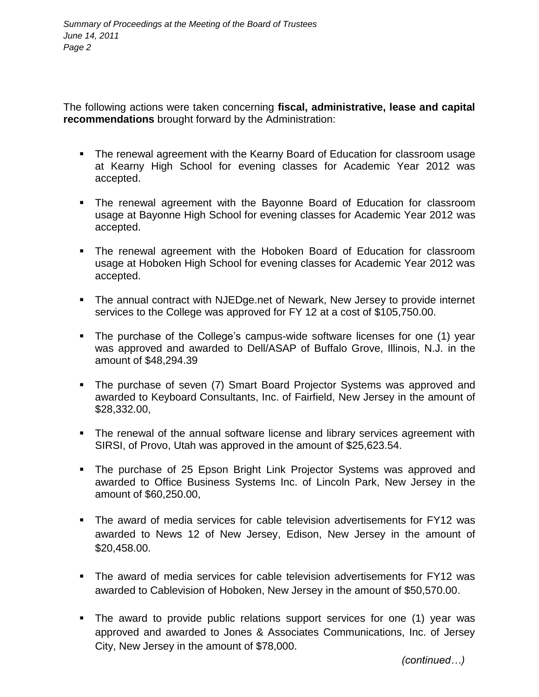The following actions were taken concerning **fiscal, administrative, lease and capital recommendations** brought forward by the Administration:

- The renewal agreement with the Kearny Board of Education for classroom usage at Kearny High School for evening classes for Academic Year 2012 was accepted.
- The renewal agreement with the Bayonne Board of Education for classroom usage at Bayonne High School for evening classes for Academic Year 2012 was accepted.
- The renewal agreement with the Hoboken Board of Education for classroom usage at Hoboken High School for evening classes for Academic Year 2012 was accepted.
- The annual contract with NJEDge.net of Newark, New Jersey to provide internet services to the College was approved for FY 12 at a cost of \$105,750.00.
- The purchase of the College's campus-wide software licenses for one (1) year was approved and awarded to Dell/ASAP of Buffalo Grove, Illinois, N.J. in the amount of \$48,294.39
- The purchase of seven (7) Smart Board Projector Systems was approved and awarded to Keyboard Consultants, Inc. of Fairfield, New Jersey in the amount of \$28,332.00,
- The renewal of the annual software license and library services agreement with SIRSI, of Provo, Utah was approved in the amount of \$25,623.54.
- The purchase of 25 Epson Bright Link Projector Systems was approved and awarded to Office Business Systems Inc. of Lincoln Park, New Jersey in the amount of \$60,250.00,
- The award of media services for cable television advertisements for FY12 was awarded to News 12 of New Jersey, Edison, New Jersey in the amount of \$20,458.00.
- The award of media services for cable television advertisements for FY12 was awarded to Cablevision of Hoboken, New Jersey in the amount of \$50,570.00.
- The award to provide public relations support services for one (1) year was approved and awarded to Jones & Associates Communications, Inc. of Jersey City, New Jersey in the amount of \$78,000.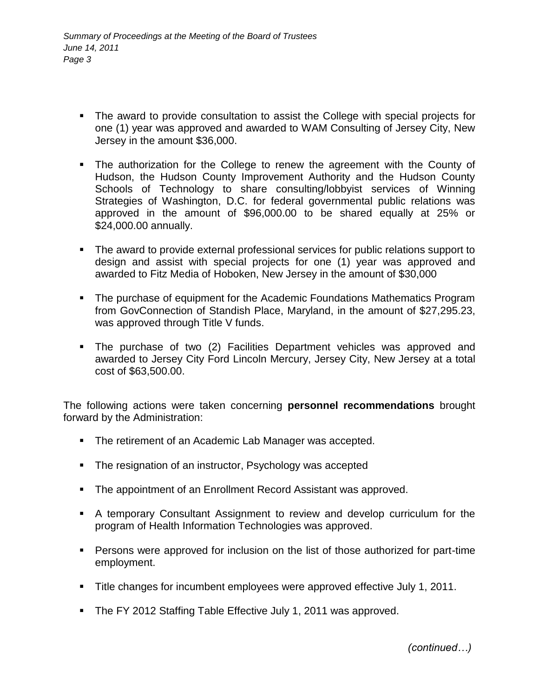- The award to provide consultation to assist the College with special projects for one (1) year was approved and awarded to WAM Consulting of Jersey City, New Jersey in the amount \$36,000.
- The authorization for the College to renew the agreement with the County of Hudson, the Hudson County Improvement Authority and the Hudson County Schools of Technology to share consulting/lobbyist services of Winning Strategies of Washington, D.C. for federal governmental public relations was approved in the amount of \$96,000.00 to be shared equally at 25% or \$24,000.00 annually.
- The award to provide external professional services for public relations support to design and assist with special projects for one (1) year was approved and awarded to Fitz Media of Hoboken, New Jersey in the amount of \$30,000
- The purchase of equipment for the Academic Foundations Mathematics Program from GovConnection of Standish Place, Maryland, in the amount of \$27,295.23, was approved through Title V funds.
- The purchase of two (2) Facilities Department vehicles was approved and awarded to Jersey City Ford Lincoln Mercury, Jersey City, New Jersey at a total cost of \$63,500.00.

The following actions were taken concerning **personnel recommendations** brought forward by the Administration:

- **The retirement of an Academic Lab Manager was accepted.**
- The resignation of an instructor, Psychology was accepted
- **The appointment of an Enrollment Record Assistant was approved.**
- A temporary Consultant Assignment to review and develop curriculum for the program of Health Information Technologies was approved.
- Persons were approved for inclusion on the list of those authorized for part-time employment.
- **Title changes for incumbent employees were approved effective July 1, 2011.**
- **The FY 2012 Staffing Table Effective July 1, 2011 was approved.**